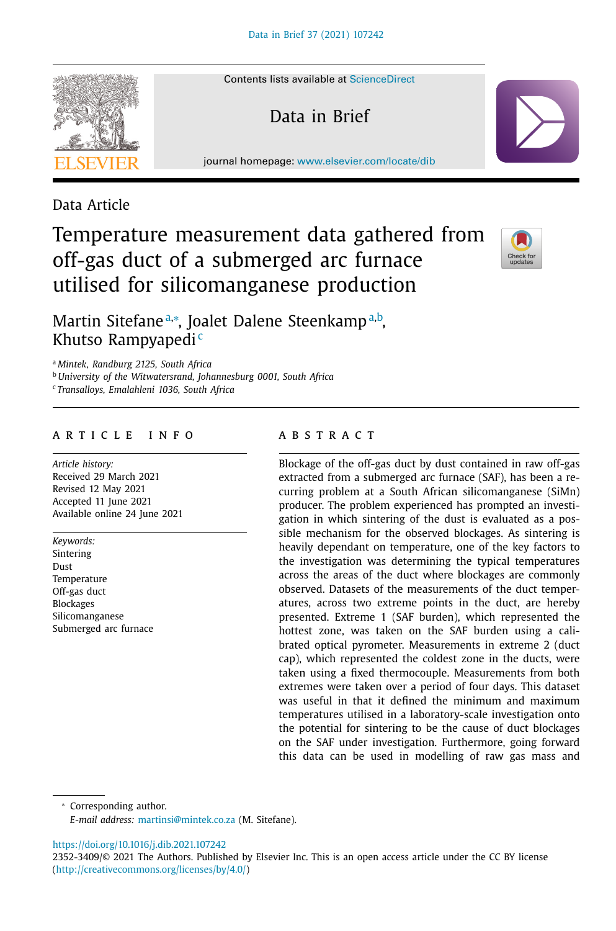Data Article

### Contents lists available at [ScienceDirect](http://www.ScienceDirect.com)

Data in Brief

journal homepage: [www.elsevier.com/locate/dib](http://www.elsevier.com/locate/dib)





Martin Sitefaneª,\*, Joalet Dalene Steenkampª,b, Khutso Rampyapedi<sup>c</sup>

<sup>a</sup> *Mintek, Randburg 2125, South Africa*

<sup>b</sup> *University of the Witwatersrand, Johannesburg 0001, South Africa*

<sup>c</sup> *Transalloys, Emalahleni 1036, South Africa*

## a r t i c l e i n f o

*Article history:* Received 29 March 2021 Revised 12 May 2021 Accepted 11 June 2021 Available online 24 June 2021

*Keywords:* Sintering Dust Temperature Off-gas duct Blockages Silicomanganese Submerged arc furnace

## a b s t r a c t

Blockage of the off-gas duct by dust contained in raw off-gas extracted from a submerged arc furnace (SAF), has been a recurring problem at a South African silicomanganese (SiMn) producer. The problem experienced has prompted an investigation in which sintering of the dust is evaluated as a possible mechanism for the observed blockages. As sintering is heavily dependant on temperature, one of the key factors to the investigation was determining the typical temperatures across the areas of the duct where blockages are commonly observed. Datasets of the measurements of the duct temperatures, across two extreme points in the duct, are hereby presented. Extreme 1 (SAF burden), which represented the hottest zone, was taken on the SAF burden using a calibrated optical pyrometer. Measurements in extreme 2 (duct cap), which represented the coldest zone in the ducts, were taken using a fixed thermocouple. Measurements from both extremes were taken over a period of four days. This dataset was useful in that it defined the minimum and maximum temperatures utilised in a laboratory-scale investigation onto the potential for sintering to be the cause of duct blockages on the SAF under investigation. Furthermore, going forward this data can be used in modelling of raw gas mass and

<sup>∗</sup> Corresponding author.

*E-mail address:* [martinsi@mintek.co.za](mailto:martinsi@mintek.co.za) (M. Sitefane).

<https://doi.org/10.1016/j.dib.2021.107242>

<sup>2352-3409/© 2021</sup> The Authors. Published by Elsevier Inc. This is an open access article under the CC BY license [\(http://creativecommons.org/licenses/by/4.0/\)](http://creativecommons.org/licenses/by/4.0/)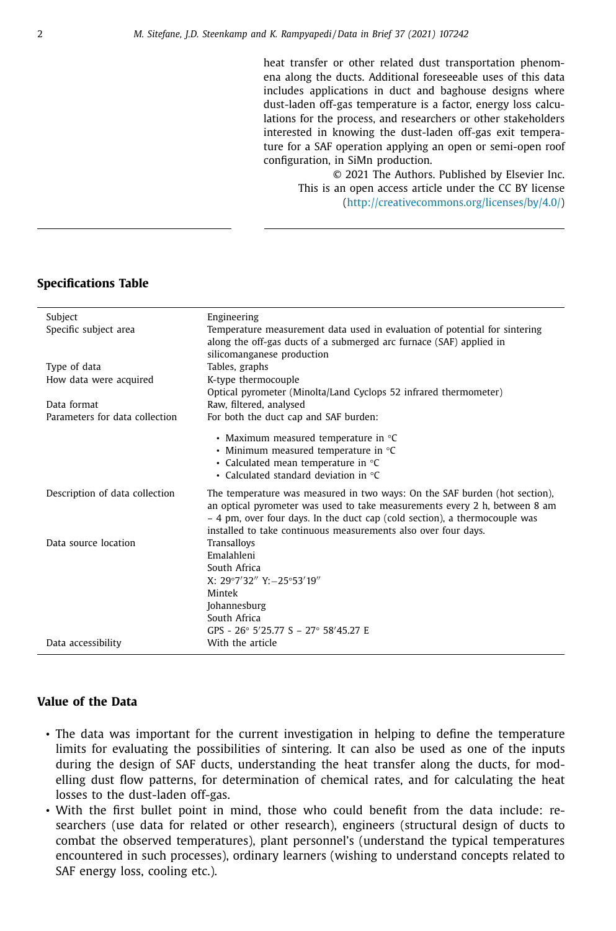heat transfer or other related dust transportation phenomena along the ducts. Additional foreseeable uses of this data includes applications in duct and baghouse designs where dust-laden off-gas temperature is a factor, energy loss calculations for the process, and researchers or other stakeholders interested in knowing the dust-laden off-gas exit temperature for a SAF operation applying an open or semi-open roof configuration, in SiMn production.

> © 2021 The Authors. Published by Elsevier Inc. This is an open access article under the CC BY license [\(http://creativecommons.org/licenses/by/4.0/\)](http://creativecommons.org/licenses/by/4.0/)

## **Specifications Table**

| Subject                        | Engineering                                                                |
|--------------------------------|----------------------------------------------------------------------------|
| Specific subject area          | Temperature measurement data used in evaluation of potential for sintering |
|                                | along the off-gas ducts of a submerged arc furnace (SAF) applied in        |
|                                | silicomanganese production                                                 |
| Type of data                   | Tables, graphs                                                             |
| How data were acquired         | K-type thermocouple                                                        |
|                                | Optical pyrometer (Minolta/Land Cyclops 52 infrared thermometer)           |
| Data format                    | Raw, filtered, analysed                                                    |
| Parameters for data collection | For both the duct cap and SAF burden:                                      |
|                                | • Maximum measured temperature in $\degree$ C                              |
|                                | • Minimum measured temperature in $°C$                                     |
|                                | • Calculated mean temperature in °C                                        |
|                                | • Calculated standard deviation in ${}^{\circ}C$                           |
| Description of data collection | The temperature was measured in two ways: On the SAF burden (hot section), |
|                                | an optical pyrometer was used to take measurements every 2 h, between 8 am |
|                                | - 4 pm, over four days. In the duct cap (cold section), a thermocouple was |
|                                | installed to take continuous measurements also over four days.             |
| Data source location           | Transalloys                                                                |
|                                | Emalahleni                                                                 |
|                                | South Africa                                                               |
|                                | X: $29°7'32''$ Y: $-25°53'19''$                                            |
|                                | Mintek                                                                     |
|                                | Johannesburg                                                               |
|                                | South Africa                                                               |
|                                | GPS - $26^{\circ}$ 5/25.77 S - 27° 58/45.27 E                              |
| Data accessibility             | With the article                                                           |

# **Value of the Data**

- The data was important for the current investigation in helping to define the temperature limits for evaluating the possibilities of sintering. It can also be used as one of the inputs during the design of SAF ducts, understanding the heat transfer along the ducts, for modelling dust flow patterns, for determination of chemical rates, and for calculating the heat losses to the dust-laden off-gas.
- With the first bullet point in mind, those who could benefit from the data include: researchers (use data for related or other research), engineers (structural design of ducts to combat the observed temperatures), plant personnel's (understand the typical temperatures encountered in such processes), ordinary learners (wishing to understand concepts related to SAF energy loss, cooling etc.).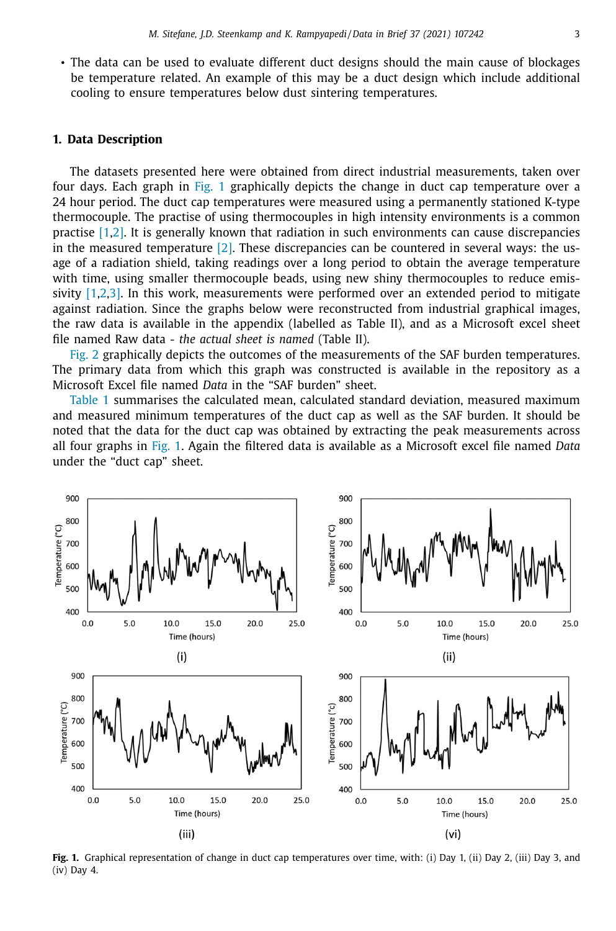• The data can be used to evaluate different duct designs should the main cause of blockages be temperature related. An example of this may be a duct design which include additional cooling to ensure temperatures below dust sintering temperatures.

### **1. Data Description**

The datasets presented here were obtained from direct industrial measurements, taken over four days. Each graph in Fig. 1 graphically depicts the change in duct cap temperature over a 24 hour period. The duct cap temperatures were measured using a permanently stationed K-type thermocouple. The practise of using thermocouples in high intensity environments is a common practise [\[1,2\].](#page-5-0) It is generally known that radiation in such environments can cause discrepancies in the measured temperature  $[2]$ . These discrepancies can be countered in several ways: the usage of a radiation shield, taking readings over a long period to obtain the average temperature with time, using smaller thermocouple beads, using new shiny thermocouples to reduce emis-sivity [\[1,2,3\].](#page-5-0) In this work, measurements were performed over an extended period to mitigate against radiation. Since the graphs below were reconstructed from industrial graphical images, the raw data is available in the appendix (labelled as Table II), and as a Microsoft excel sheet file named Raw data *- the actual sheet is named* (Table II).

[Fig.](#page-3-0) 2 graphically depicts the outcomes of the measurements of the SAF burden temperatures. The primary data from which this graph was constructed is available in the repository as a Microsoft Excel file named *Data* in the "SAF burden" sheet.

[Table](#page-3-0) 1 summarises the calculated mean, calculated standard deviation, measured maximum and measured minimum temperatures of the duct cap as well as the SAF burden. It should be noted that the data for the duct cap was obtained by extracting the peak measurements across all four graphs in Fig. 1. Again the filtered data is available as a Microsoft excel file named *Data* under the "duct cap" sheet.



**Fig. 1.** Graphical representation of change in duct cap temperatures over time, with: (i) Day 1, (ii) Day 2, (iii) Day 3, and (iv) Day 4.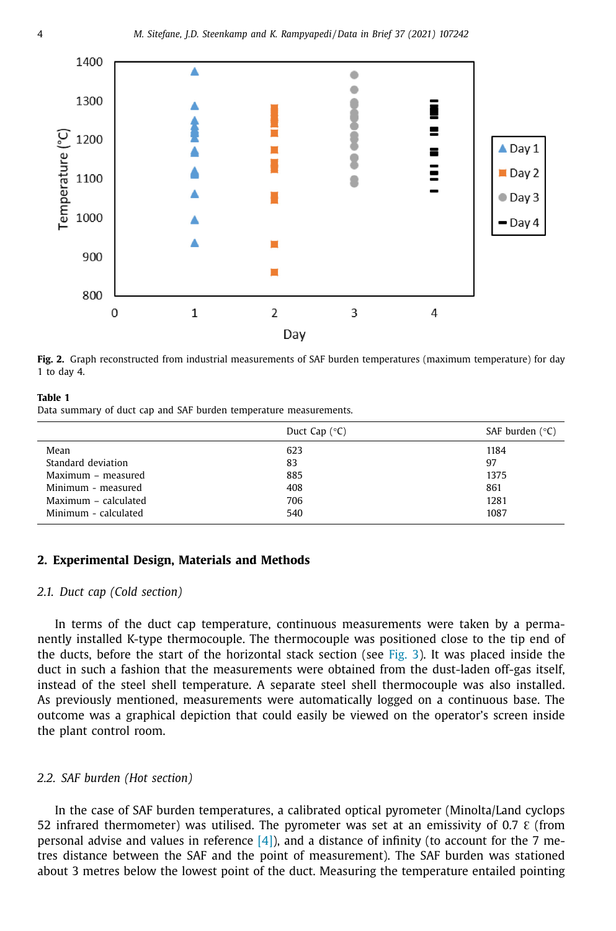<span id="page-3-0"></span>

**Fig. 2.** Graph reconstructed from industrial measurements of SAF burden temperatures (maximum temperature) for day 1 to day 4.

#### **Table 1**

Data summary of duct cap and SAF burden temperature measurements.

|                      | Duct Cap $(^{\circ}C)$ | SAF burden $(°C)$ |
|----------------------|------------------------|-------------------|
| Mean                 | 623                    | 1184              |
| Standard deviation   | 83                     | 97                |
| Maximum - measured   | 885                    | 1375              |
| Minimum - measured   | 408                    | 861               |
| Maximum - calculated | 706                    | 1281              |
| Minimum - calculated | 540                    | 1087              |

## **2. Experimental Design, Materials and Methods**

#### *2.1. Duct cap (Cold section)*

In terms of the duct cap temperature, continuous measurements were taken by a permanently installed K-type thermocouple. The thermocouple was positioned close to the tip end of the ducts, before the start of the horizontal stack section (see [Fig.](#page-4-0) 3). It was placed inside the duct in such a fashion that the measurements were obtained from the dust-laden off-gas itself, instead of the steel shell temperature. A separate steel shell thermocouple was also installed. As previously mentioned, measurements were automatically logged on a continuous base. The outcome was a graphical depiction that could easily be viewed on the operator's screen inside the plant control room.

## *2.2. SAF burden (Hot section)*

In the case of SAF burden temperatures, a calibrated optical pyrometer (Minolta/Land cyclops 52 infrared thermometer) was utilised. The pyrometer was set at an emissivity of 0.7  $\epsilon$  (from personal advise and values in reference  $[4]$ ), and a distance of infinity (to account for the 7 metres distance between the SAF and the point of measurement). The SAF burden was stationed about 3 metres below the lowest point of the duct. Measuring the temperature entailed pointing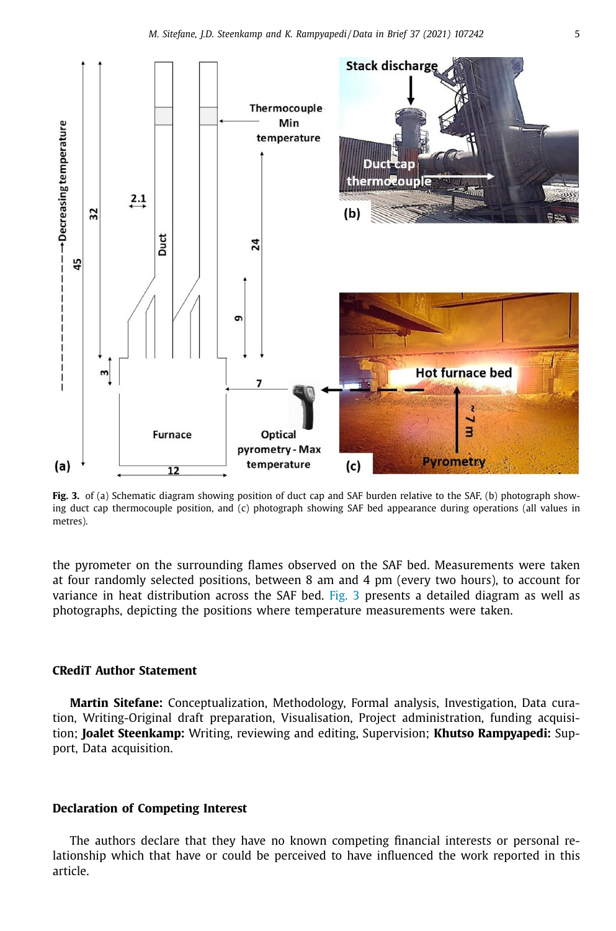<span id="page-4-0"></span>

**Fig. 3.** of (a) Schematic diagram showing position of duct cap and SAF burden relative to the SAF, (b) photograph showing duct cap thermocouple position, and (c) photograph showing SAF bed appearance during operations (all values in metres).

the pyrometer on the surrounding flames observed on the SAF bed. Measurements were taken at four randomly selected positions, between 8 am and 4 pm (every two hours), to account for variance in heat distribution across the SAF bed. Fig. 3 presents a detailed diagram as well as photographs, depicting the positions where temperature measurements were taken.

## **CRediT Author Statement**

**Martin Sitefane:** Conceptualization, Methodology, Formal analysis, Investigation, Data curation, Writing-Original draft preparation, Visualisation, Project administration, funding acquisition; **Joalet Steenkamp:** Writing, reviewing and editing, Supervision; **Khutso Rampyapedi:** Support, Data acquisition.

#### **Declaration of Competing Interest**

The authors declare that they have no known competing financial interests or personal relationship which that have or could be perceived to have influenced the work reported in this article.